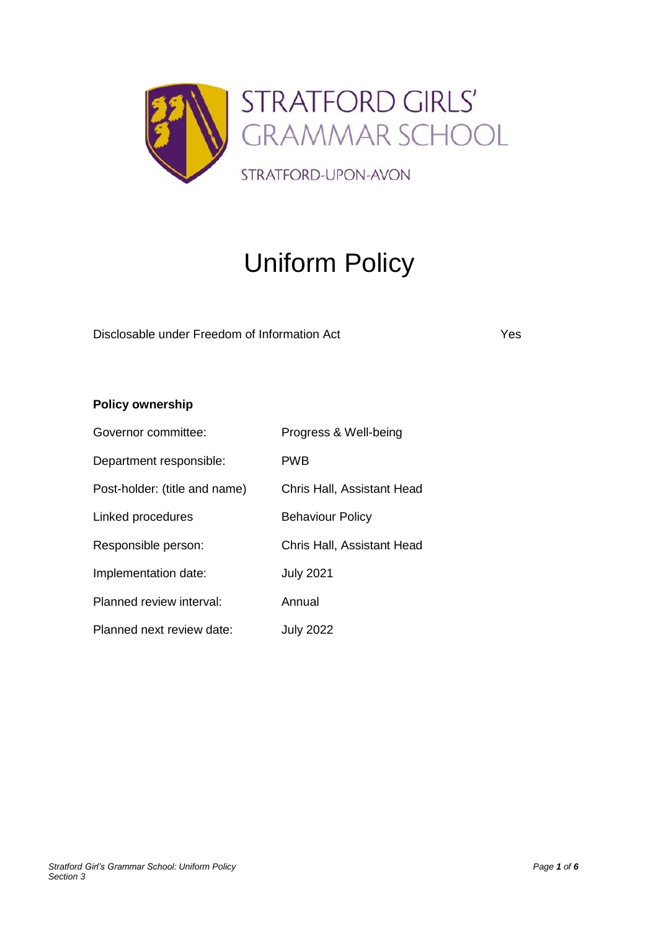

# Uniform Policy

Disclosable under Freedom of Information Act Yes

**Policy ownership**

| Governor committee:           | Progress & Well-being      |
|-------------------------------|----------------------------|
| Department responsible:       | <b>PWB</b>                 |
| Post-holder: (title and name) | Chris Hall, Assistant Head |
| Linked procedures             | <b>Behaviour Policy</b>    |
| Responsible person:           | Chris Hall, Assistant Head |
| Implementation date:          | <b>July 2021</b>           |
| Planned review interval:      | Annual                     |
| Planned next review date:     | <b>July 2022</b>           |

*Stratford Girl's Grammar School: Uniform Policy Page 1 of 6 Section 3*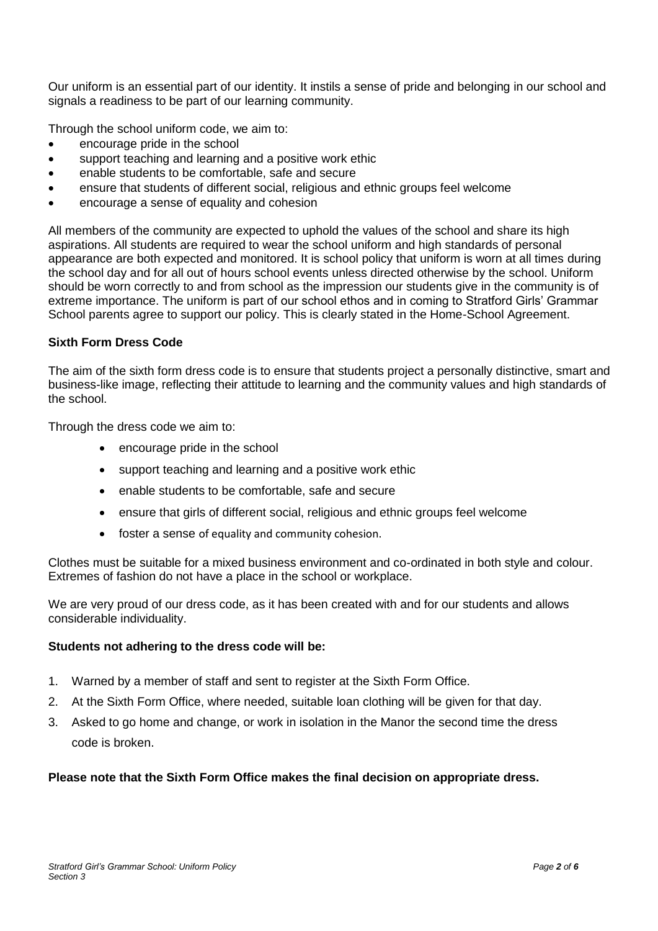Our uniform is an essential part of our identity. It instils a sense of pride and belonging in our school and signals a readiness to be part of our learning community.

Through the school uniform code, we aim to:

- encourage pride in the school
- support teaching and learning and a positive work ethic
- enable students to be comfortable, safe and secure
- ensure that students of different social, religious and ethnic groups feel welcome
- encourage a sense of equality and cohesion

All members of the community are expected to uphold the values of the school and share its high aspirations. All students are required to wear the school uniform and high standards of personal appearance are both expected and monitored. It is school policy that uniform is worn at all times during the school day and for all out of hours school events unless directed otherwise by the school. Uniform should be worn correctly to and from school as the impression our students give in the community is of extreme importance. The uniform is part of our school ethos and in coming to Stratford Girls' Grammar School parents agree to support our policy. This is clearly stated in the Home-School Agreement.

## **Sixth Form Dress Code**

The aim of the sixth form dress code is to ensure that students project a personally distinctive, smart and business-like image, reflecting their attitude to learning and the community values and high standards of the school.

Through the dress code we aim to:

- encourage pride in the school
- support teaching and learning and a positive work ethic
- enable students to be comfortable, safe and secure
- ensure that girls of different social, religious and ethnic groups feel welcome
- foster a sense of equality and community cohesion.

Clothes must be suitable for a mixed business environment and co-ordinated in both style and colour. Extremes of fashion do not have a place in the school or workplace.

We are very proud of our dress code, as it has been created with and for our students and allows considerable individuality.

## **Students not adhering to the dress code will be:**

- 1. Warned by a member of staff and sent to register at the Sixth Form Office.
- 2. At the Sixth Form Office, where needed, suitable loan clothing will be given for that day.
- 3. Asked to go home and change, or work in isolation in the Manor the second time the dress code is broken.

## **Please note that the Sixth Form Office makes the final decision on appropriate dress.**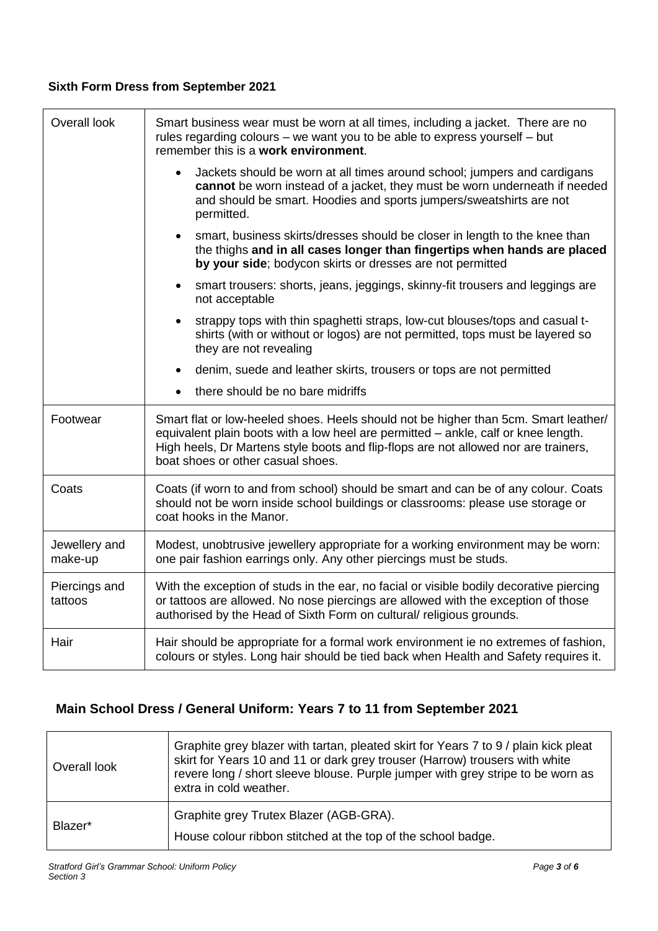# **Sixth Form Dress from September 2021**

| Overall look             | Smart business wear must be worn at all times, including a jacket. There are no<br>rules regarding colours - we want you to be able to express yourself - but<br>remember this is a work environment.                                                                                                 |  |
|--------------------------|-------------------------------------------------------------------------------------------------------------------------------------------------------------------------------------------------------------------------------------------------------------------------------------------------------|--|
|                          | Jackets should be worn at all times around school; jumpers and cardigans<br>$\bullet$<br>cannot be worn instead of a jacket, they must be worn underneath if needed<br>and should be smart. Hoodies and sports jumpers/sweatshirts are not<br>permitted.                                              |  |
|                          | smart, business skirts/dresses should be closer in length to the knee than<br>$\bullet$<br>the thighs and in all cases longer than fingertips when hands are placed<br>by your side; bodycon skirts or dresses are not permitted                                                                      |  |
|                          | smart trousers: shorts, jeans, jeggings, skinny-fit trousers and leggings are<br>$\bullet$<br>not acceptable                                                                                                                                                                                          |  |
|                          | strappy tops with thin spaghetti straps, low-cut blouses/tops and casual t-<br>$\bullet$<br>shirts (with or without or logos) are not permitted, tops must be layered so<br>they are not revealing                                                                                                    |  |
|                          | denim, suede and leather skirts, trousers or tops are not permitted<br>$\bullet$                                                                                                                                                                                                                      |  |
|                          | there should be no bare midriffs<br>$\bullet$                                                                                                                                                                                                                                                         |  |
| Footwear                 | Smart flat or low-heeled shoes. Heels should not be higher than 5cm. Smart leather/<br>equivalent plain boots with a low heel are permitted - ankle, calf or knee length.<br>High heels, Dr Martens style boots and flip-flops are not allowed nor are trainers,<br>boat shoes or other casual shoes. |  |
| Coats                    | Coats (if worn to and from school) should be smart and can be of any colour. Coats<br>should not be worn inside school buildings or classrooms: please use storage or<br>coat hooks in the Manor.                                                                                                     |  |
| Jewellery and<br>make-up | Modest, unobtrusive jewellery appropriate for a working environment may be worn:<br>one pair fashion earrings only. Any other piercings must be studs.                                                                                                                                                |  |
| Piercings and<br>tattoos | With the exception of studs in the ear, no facial or visible bodily decorative piercing<br>or tattoos are allowed. No nose piercings are allowed with the exception of those<br>authorised by the Head of Sixth Form on cultural/ religious grounds.                                                  |  |
| Hair                     | Hair should be appropriate for a formal work environment ie no extremes of fashion,<br>colours or styles. Long hair should be tied back when Health and Safety requires it.                                                                                                                           |  |

# **Main School Dress / General Uniform: Years 7 to 11 from September 2021**

| Overall look | Graphite grey blazer with tartan, pleated skirt for Years 7 to 9 / plain kick pleat<br>skirt for Years 10 and 11 or dark grey trouser (Harrow) trousers with white<br>revere long / short sleeve blouse. Purple jumper with grey stripe to be worn as<br>extra in cold weather. |
|--------------|---------------------------------------------------------------------------------------------------------------------------------------------------------------------------------------------------------------------------------------------------------------------------------|
| Blazer*      | Graphite grey Trutex Blazer (AGB-GRA).<br>House colour ribbon stitched at the top of the school badge.                                                                                                                                                                          |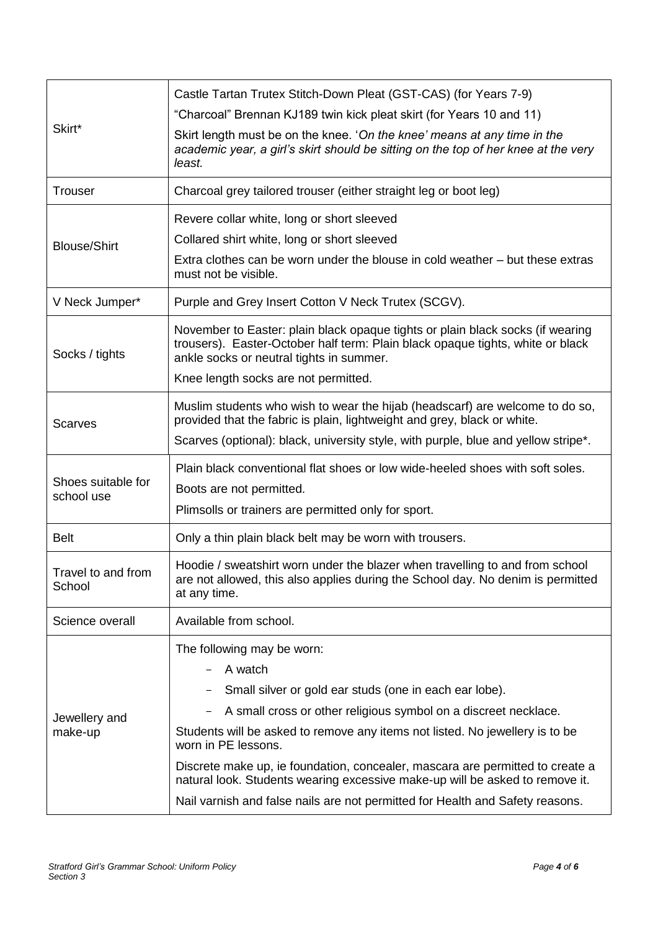| Skirt*                           | Castle Tartan Trutex Stitch-Down Pleat (GST-CAS) (for Years 7-9)                                                                                                                                             |
|----------------------------------|--------------------------------------------------------------------------------------------------------------------------------------------------------------------------------------------------------------|
|                                  | "Charcoal" Brennan KJ189 twin kick pleat skirt (for Years 10 and 11)                                                                                                                                         |
|                                  | Skirt length must be on the knee. 'On the knee' means at any time in the<br>academic year, a girl's skirt should be sitting on the top of her knee at the very<br>least.                                     |
| <b>Trouser</b>                   | Charcoal grey tailored trouser (either straight leg or boot leg)                                                                                                                                             |
| <b>Blouse/Shirt</b>              | Revere collar white, long or short sleeved                                                                                                                                                                   |
|                                  | Collared shirt white, long or short sleeved                                                                                                                                                                  |
|                                  | Extra clothes can be worn under the blouse in cold weather – but these extras<br>must not be visible.                                                                                                        |
| V Neck Jumper*                   | Purple and Grey Insert Cotton V Neck Trutex (SCGV).                                                                                                                                                          |
| Socks / tights                   | November to Easter: plain black opaque tights or plain black socks (if wearing<br>trousers). Easter-October half term: Plain black opaque tights, white or black<br>ankle socks or neutral tights in summer. |
|                                  | Knee length socks are not permitted.                                                                                                                                                                         |
| <b>Scarves</b>                   | Muslim students who wish to wear the hijab (headscarf) are welcome to do so,<br>provided that the fabric is plain, lightweight and grey, black or white.                                                     |
|                                  | Scarves (optional): black, university style, with purple, blue and yellow stripe*.                                                                                                                           |
|                                  | Plain black conventional flat shoes or low wide-heeled shoes with soft soles.                                                                                                                                |
| Shoes suitable for<br>school use | Boots are not permitted.                                                                                                                                                                                     |
|                                  | Plimsolls or trainers are permitted only for sport.                                                                                                                                                          |
| <b>Belt</b>                      | Only a thin plain black belt may be worn with trousers.                                                                                                                                                      |
| Travel to and from<br>School     | Hoodie / sweatshirt worn under the blazer when travelling to and from school<br>are not allowed, this also applies during the School day. No denim is permitted<br>at any time.                              |
| Science overall                  | Available from school.                                                                                                                                                                                       |
|                                  | The following may be worn:                                                                                                                                                                                   |
|                                  | A watch                                                                                                                                                                                                      |
|                                  | Small silver or gold ear studs (one in each ear lobe).                                                                                                                                                       |
| Jewellery and<br>make-up         | A small cross or other religious symbol on a discreet necklace.<br>$\qquad \qquad -$                                                                                                                         |
|                                  | Students will be asked to remove any items not listed. No jewellery is to be<br>worn in PE lessons.                                                                                                          |
|                                  | Discrete make up, ie foundation, concealer, mascara are permitted to create a<br>natural look. Students wearing excessive make-up will be asked to remove it.                                                |
|                                  | Nail varnish and false nails are not permitted for Health and Safety reasons.                                                                                                                                |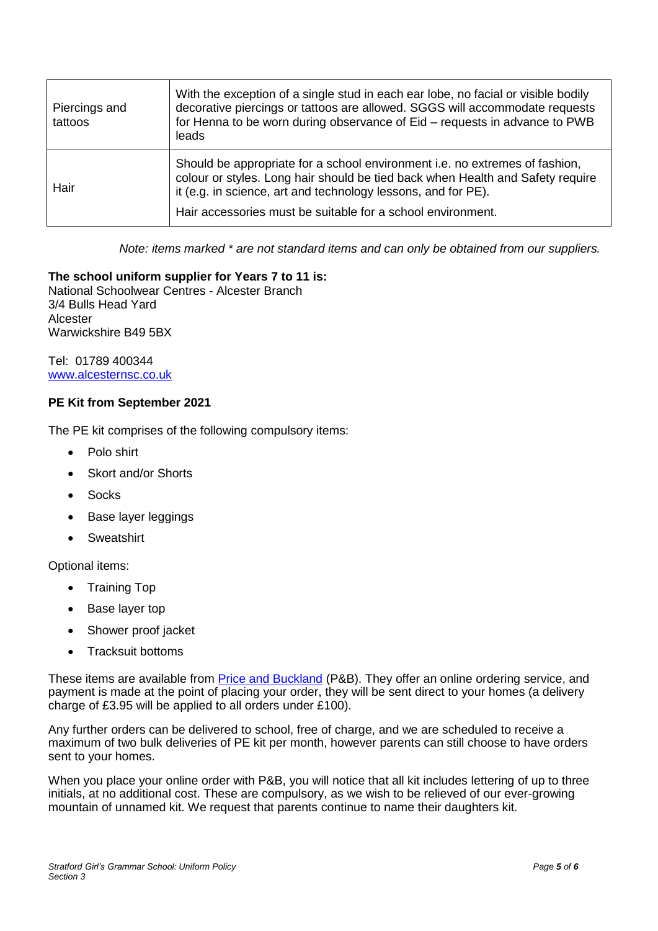| Piercings and<br>tattoos | With the exception of a single stud in each ear lobe, no facial or visible bodily<br>decorative piercings or tattoos are allowed. SGGS will accommodate requests<br>for Henna to be worn during observance of Eid – requests in advance to PWB<br>leads                                       |
|--------------------------|-----------------------------------------------------------------------------------------------------------------------------------------------------------------------------------------------------------------------------------------------------------------------------------------------|
| Hair                     | Should be appropriate for a school environment i.e. no extremes of fashion,<br>colour or styles. Long hair should be tied back when Health and Safety require<br>it (e.g. in science, art and technology lessons, and for PE).<br>Hair accessories must be suitable for a school environment. |

*Note: items marked \* are not standard items and can only be obtained from our suppliers.*

## **The school uniform supplier for Years 7 to 11 is:**

National Schoolwear Centres - Alcester Branch 3/4 Bulls Head Yard Alcester Warwickshire B49 5BX

Tel: 01789 400344 [www.alcesternsc.co.uk](http://www.alcesternsc.co.uk/)

#### **PE Kit from September 2021**

The PE kit comprises of the following compulsory items:

- Polo shirt
- Skort and/or Shorts
- Socks
- Base layer leggings
- **Sweatshirt**

Optional items:

- Training Top
- Base layer top
- Shower proof jacket
- Tracksuit bottoms

These items are available from **Price and Buckland** (P&B). They offer an online ordering service, and payment is made at the point of placing your order, they will be sent direct to your homes (a delivery charge of £3.95 will be applied to all orders under £100).

Any further orders can be delivered to school, free of charge, and we are scheduled to receive a maximum of two bulk deliveries of PE kit per month, however parents can still choose to have orders sent to your homes.

When you place your online order with P&B, you will notice that all kit includes lettering of up to three initials, at no additional cost. These are compulsory, as we wish to be relieved of our ever-growing mountain of unnamed kit. We request that parents continue to name their daughters kit.